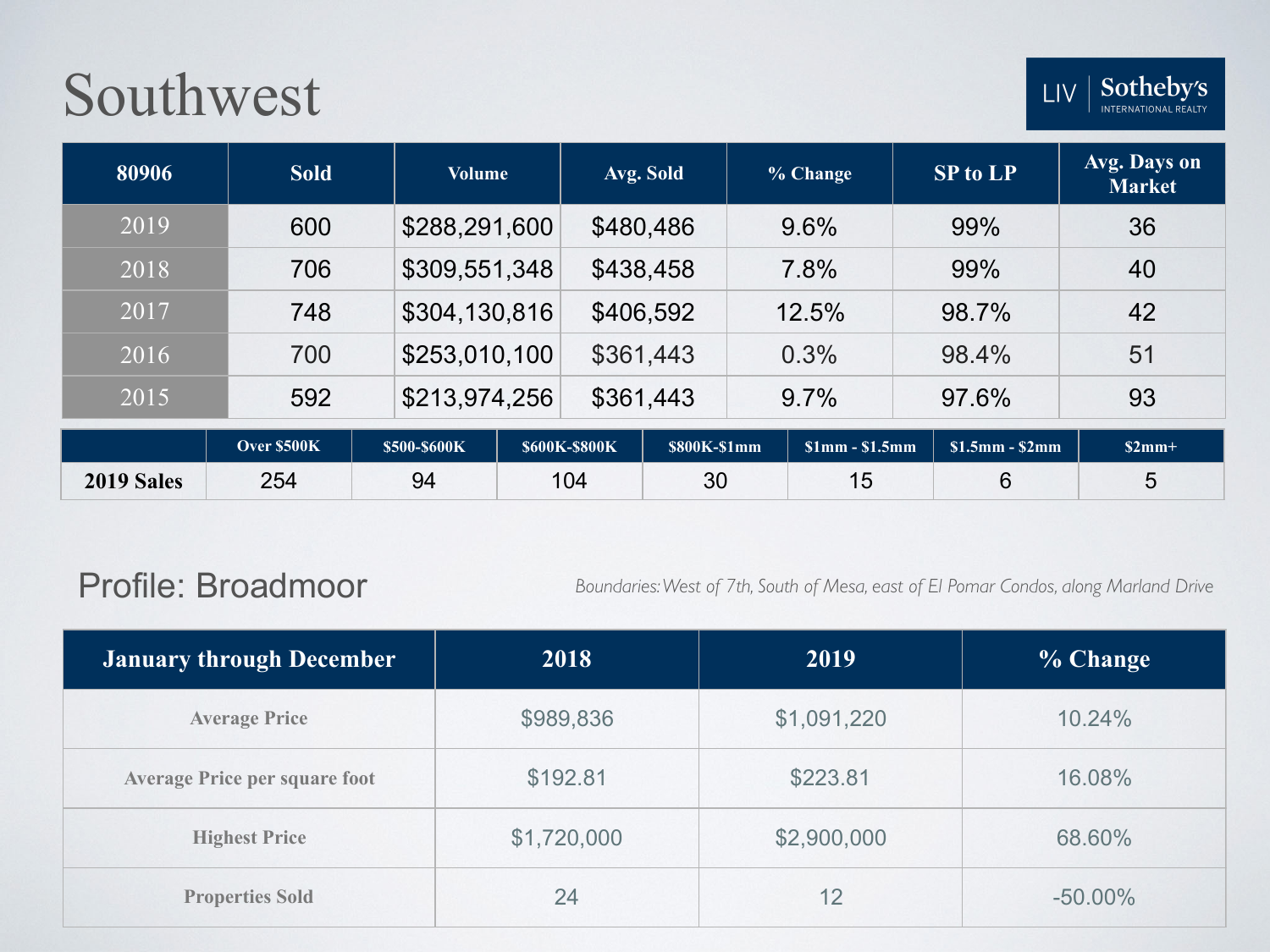| 80906 | <b>Sold</b> | <b>Volume</b> | Avg. Sold   |                   | % Change          | <b>SP to LP</b> | Avg. Days on<br><b>Market</b> |
|-------|-------------|---------------|-------------|-------------------|-------------------|-----------------|-------------------------------|
| 2019  | 600         | \$288,291,600 | \$480,486   |                   | 9.6%              | 99%             | 36                            |
| 2018  | 706         | \$309,551,348 | \$438,458   |                   | 7.8%              | 99%             | 40                            |
| 2017  | 748         | \$304,130,816 | \$406,592   |                   | 12.5%             | 98.7%           | 42                            |
| 2016  | 700         | \$253,010,100 | \$361,443   |                   | 0.3%              | 98.4%           | 51                            |
| 2015  | 592         | \$213,974,256 | \$361,443   |                   | 9.7%              | 97.6%           | 93                            |
|       | Over \$500K | \$500_\$600K  | S600K_S800K | $$800K$$ - $$1mm$ | $$1mm$ $$1$ $$mm$ | $$15mm$ $$2mm$  | $$2mm+$                       |

|            | <b>Over \$500K</b> | \$500-\$600K | \$600K-\$800K | \$800K-\$1mm | $\sqrt{\sinh^{-1} \sinh^{-1} \sinh^{-1} \sinh^{-1} \sinh^{-1} \sinh^{-1} \sinh^{-1} \sinh^{-1} \sinh^{-1} \sinh^{-1} \sinh^{-1} \sinh^{-1} \sinh^{-1} \sinh^{-1} \sinh^{-1} \sinh^{-1} \sinh^{-1} \sinh^{-1} \sinh^{-1} \sinh^{-1} \sinh^{-1} \sinh^{-1} \sinh^{-1} \sinh^{-1} \sinh^{-1} \sinh^{-1} \sinh^{-1} \sinh^{-1} \sinh^{-1} \sinh^{-1} \sinh^{-1} \sinh^{-1} \sinh^{-1} \sinh^{-1} \sinh^{-1} \sinh^{-1} \sin$ | $$1.5mm - $2mm$ | $$2mm+$ |
|------------|--------------------|--------------|---------------|--------------|--------------------------------------------------------------------------------------------------------------------------------------------------------------------------------------------------------------------------------------------------------------------------------------------------------------------------------------------------------------------------------------------------------------------------|-----------------|---------|
| 2019 Sales | 254                | 94           | 104           | 30           | ט ו                                                                                                                                                                                                                                                                                                                                                                                                                      |                 |         |

#### Profile: Broadmoor

*Boundaries: West of 7th, South of Mesa, east of El Pomar Condos, along Marland Drive*

| <b>January through December</b>      | 2018        | 2019        | % Change   |
|--------------------------------------|-------------|-------------|------------|
| <b>Average Price</b>                 | \$989,836   | \$1,091,220 | 10.24%     |
| <b>Average Price per square foot</b> | \$192.81    | \$223.81    | 16.08%     |
| <b>Highest Price</b>                 | \$1,720,000 | \$2,900,000 | 68.60%     |
| <b>Properties Sold</b>               | 24          | 12          | $-50.00\%$ |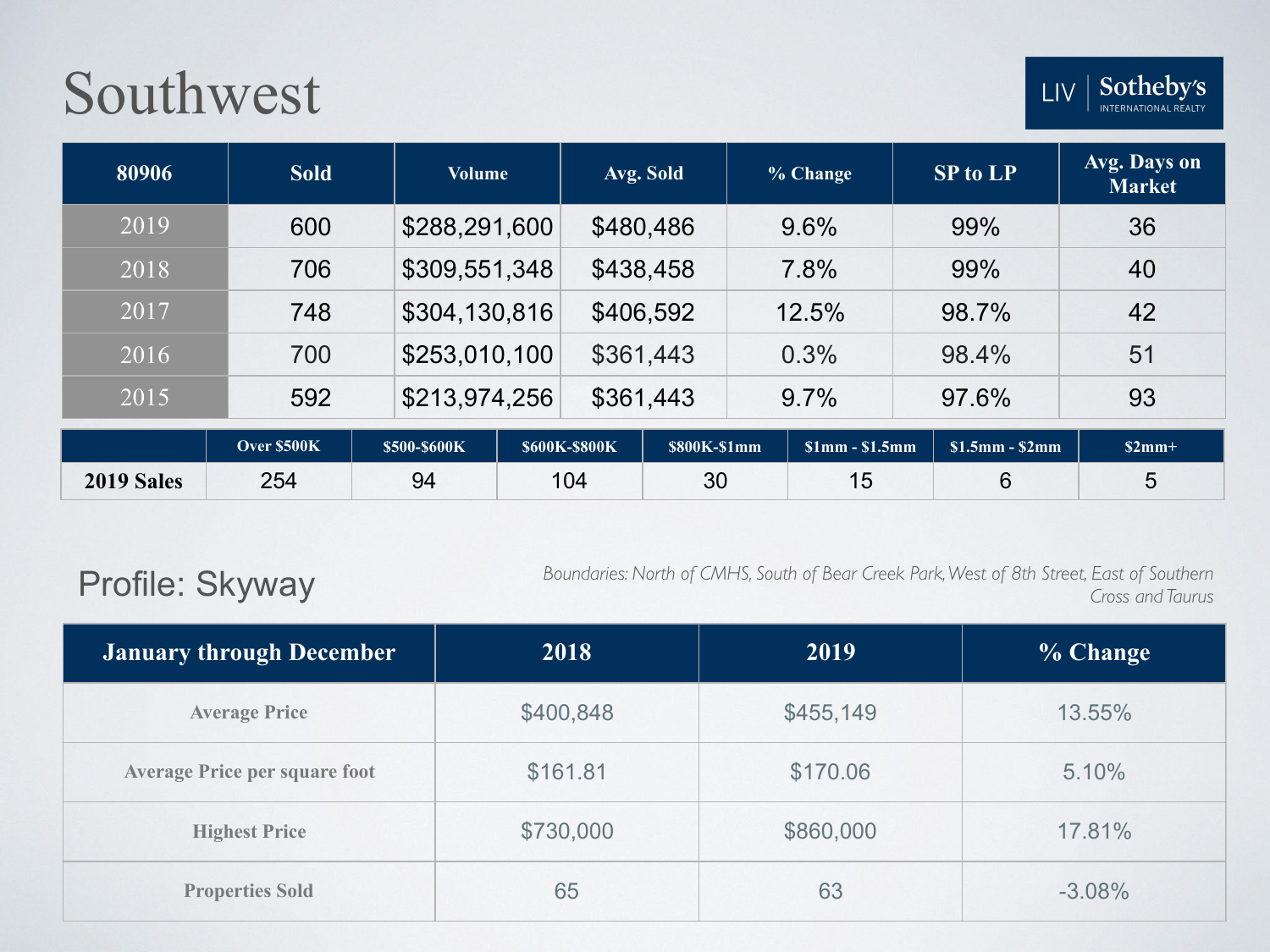

| 80906 | <b>Sold</b> | <b>Volume</b> | Avg. Sold | % Change | <b>SP to LP</b> | Avg. Days on<br><b>Market</b> |
|-------|-------------|---------------|-----------|----------|-----------------|-------------------------------|
| 2019  | 600         | \$288,291,600 | \$480,486 | 9.6%     | 99%             | 36                            |
| 2018  | 706         | \$309,551,348 | \$438,458 | 7.8%     | 99%             | 40                            |
| 2017  | 748         | \$304,130,816 | \$406,592 | 12.5%    | 98.7%           | 42                            |
| 2016  | 700         | \$253,010,100 | \$361,443 | 0.3%     | 98.4%           | 51                            |
| 2015  | 592         | \$213,974,256 | \$361,443 | 9.7%     | 97.6%           | 93                            |

|                   | <b>Over \$500K</b> | \$500-\$600K | \$600K-\$800K | \$800K-\$1mm | $\sqrt{\sinh^{-1} \sinh^{-1} \sinh^{-1} \sinh^{-1} \sinh^{-1} \sinh^{-1} \sinh^{-1} \sinh^{-1} \sinh^{-1} \sinh^{-1} \sinh^{-1} \sinh^{-1} \sinh^{-1} \sinh^{-1} \sinh^{-1} \sinh^{-1} \sinh^{-1} \sinh^{-1} \sinh^{-1} \sinh^{-1} \sinh^{-1} \sinh^{-1} \sinh^{-1} \sinh^{-1} \sinh^{-1} \sinh^{-1} \sinh^{-1} \sinh^{-1} \sinh^{-1} \sinh^{-1} \sinh^{-1} \sinh^{-1} \sinh^{-1} \sinh^{-1} \sinh^{-1} \sinh^{-1} \sin$ | $\sqrt{\$1.5mm}$ - \$2mm | $$2mm+$ |
|-------------------|--------------------|--------------|---------------|--------------|--------------------------------------------------------------------------------------------------------------------------------------------------------------------------------------------------------------------------------------------------------------------------------------------------------------------------------------------------------------------------------------------------------------------------|--------------------------|---------|
| <b>2019 Sales</b> | 254                | 94           | 104           | 30           | 1 h<br>' ~                                                                                                                                                                                                                                                                                                                                                                                                               |                          |         |

### Profile: Skyway

*Boundaries: North of CMHS, South of Bear Creek Park, West of 8th Street, East of Southern Cross and Taurus*

| <b>January through December</b>      | 2018      | 2019      | % Change |
|--------------------------------------|-----------|-----------|----------|
| <b>Average Price</b>                 | \$400,848 | \$455,149 | 13.55%   |
| <b>Average Price per square foot</b> | \$161.81  | \$170.06  | 5.10%    |
| <b>Highest Price</b>                 | \$730,000 | \$860,000 | 17.81%   |
| <b>Properties Sold</b>               | 65        | 63        | $-3.08%$ |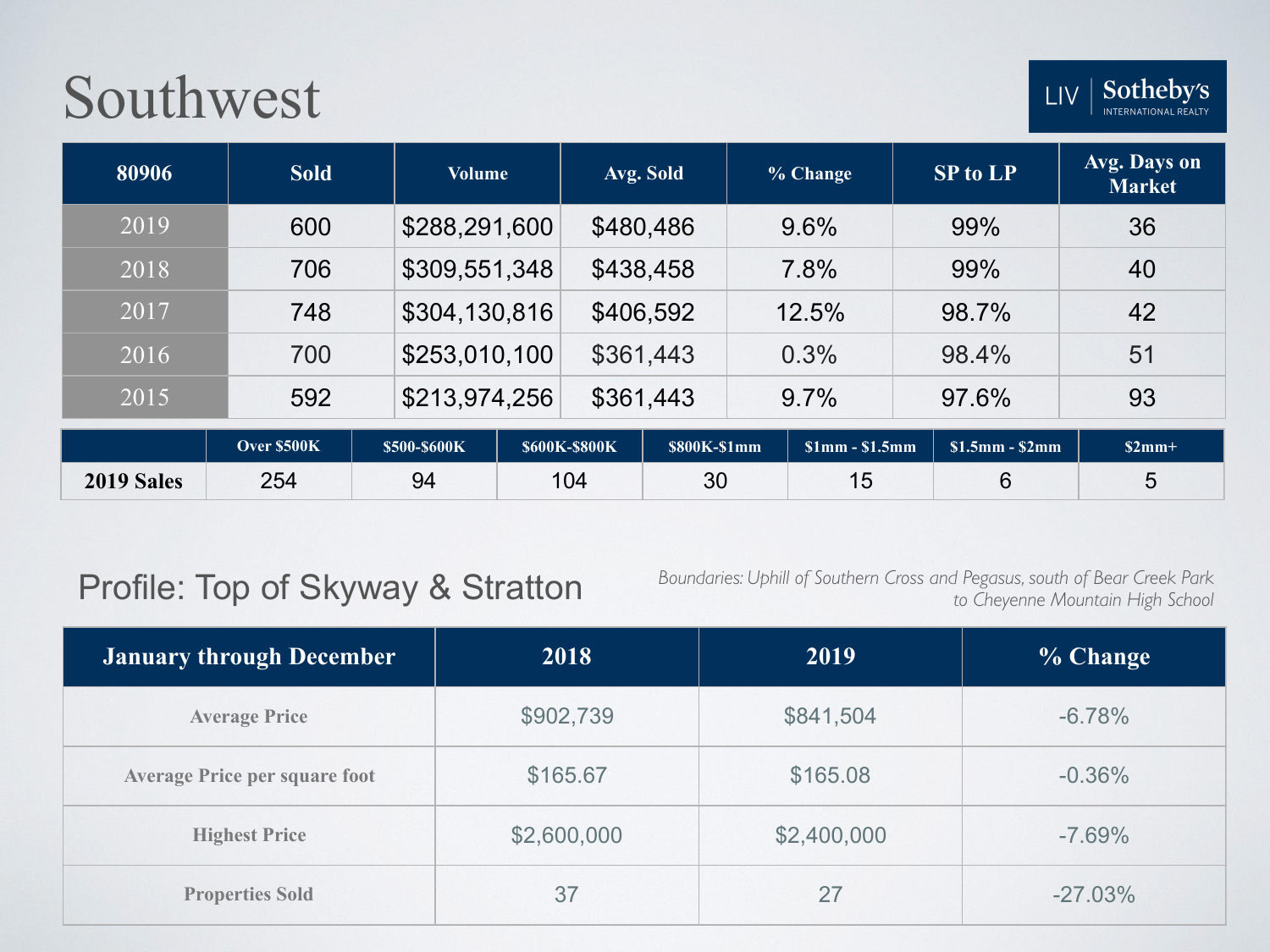LIV

| 80906      | <b>Sold</b> | <b>Volume</b> |                      | Avg. Sold    | % Change        | <b>SP to LP</b> | Avg. Days on<br><b>Market</b> |
|------------|-------------|---------------|----------------------|--------------|-----------------|-----------------|-------------------------------|
| 2019       | 600         | \$288,291,600 |                      | \$480,486    | 9.6%            | 99%             | 36                            |
| 2018       | 706         | \$309,551,348 |                      | \$438,458    | 7.8%            | 99%             | 40                            |
| 2017       | 748         | \$304,130,816 |                      | \$406,592    | 12.5%           | 98.7%           | 42                            |
| 2016       | 700         | \$253,010,100 |                      | \$361,443    | 0.3%            | 98.4%           | 51                            |
| 2015       | 592         | \$213,974,256 |                      | \$361,443    | $9.7\%$         | 97.6%           | 93                            |
|            | Over \$500K | \$500-\$600K  | <b>\$600K-\$800K</b> | \$800K-\$1mm | $$1mm - $1.5mm$ | $$1.5mm - $2mm$ | $$2mm+$                       |
| 2019 Sales | 254         | 94            | 104                  | 30           | 15              | 6               | 5                             |

### Profile: Top of Skyway & Stratton

*Boundaries: Uphill of Southern Cross and Pegasus, south of Bear Creek Park to Cheyenne Mountain High School*

| <b>January through December</b>      | 2018        | 2019        | % Change   |
|--------------------------------------|-------------|-------------|------------|
| <b>Average Price</b>                 | \$902,739   | \$841,504   | $-6.78%$   |
| <b>Average Price per square foot</b> | \$165.67    | \$165.08    | $-0.36%$   |
| <b>Highest Price</b>                 | \$2,600,000 | \$2,400,000 | $-7.69%$   |
| <b>Properties Sold</b>               | 37          | 27          | $-27.03\%$ |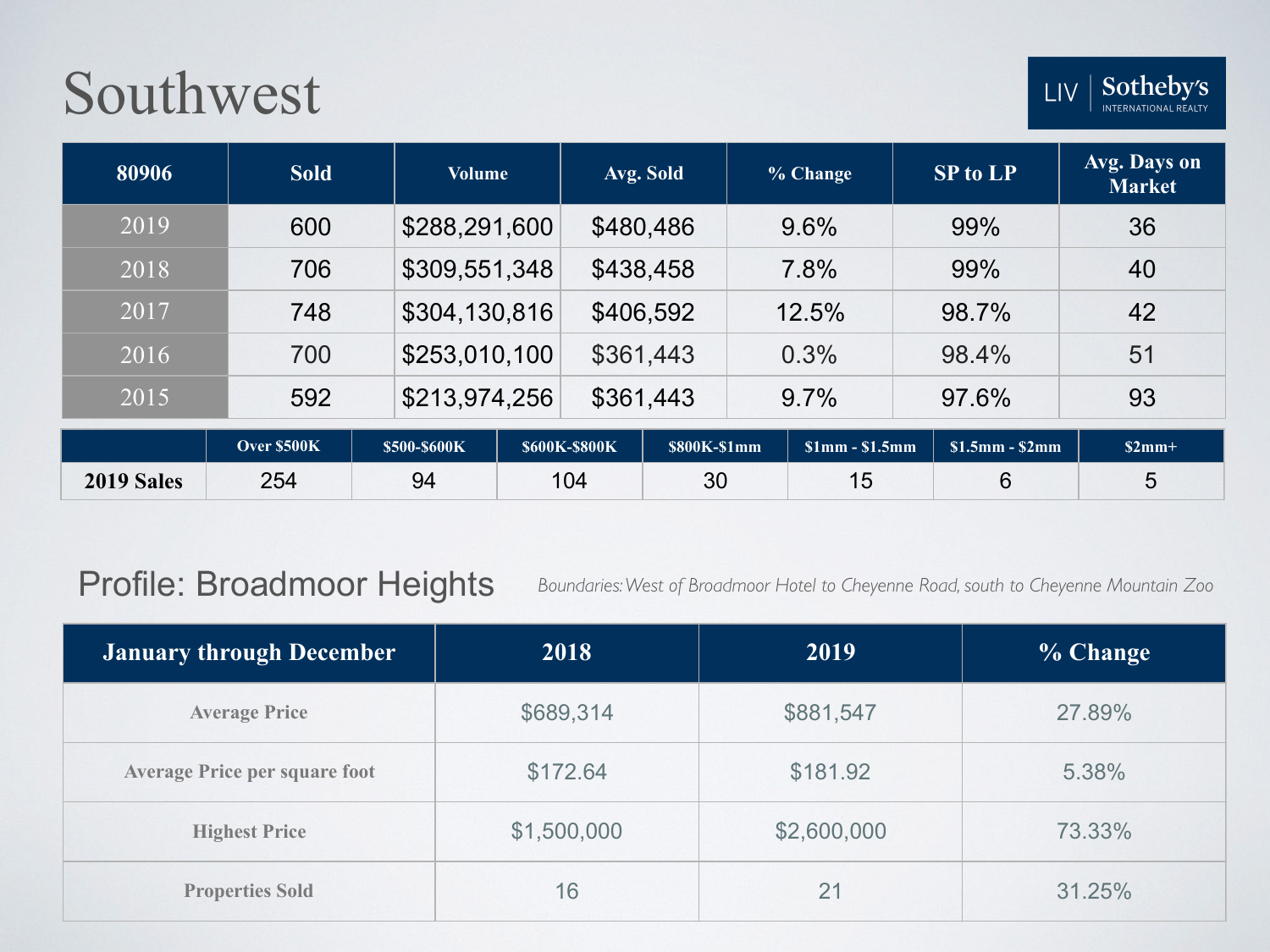| 80906      | <b>Sold</b> | <b>Volume</b> |                      | Avg. Sold    | % Change        | <b>SP to LP</b> | Avg. Days on<br><b>Market</b> |
|------------|-------------|---------------|----------------------|--------------|-----------------|-----------------|-------------------------------|
| 2019       | 600         | \$288,291,600 |                      | \$480,486    | 9.6%            | 99%             | 36                            |
| 2018       | 706         | \$309,551,348 |                      | \$438,458    | 7.8%            | 99%             | 40                            |
| 2017       | 748         | \$304,130,816 |                      | \$406,592    | 12.5%           | 98.7%           | 42                            |
| 2016       | 700         | \$253,010,100 |                      | \$361,443    | 0.3%            | 98.4%           | 51                            |
| 2015       | 592         | \$213,974,256 |                      | \$361,443    | 9.7%            | 97.6%           | 93                            |
|            | Over \$500K | \$500-\$600K  | <b>\$600K-\$800K</b> | \$800K-\$1mm | $$1mm - $1.5mm$ | $$1.5mm - $2mm$ | $$2mm+$                       |
| 2019 Sales | 254         | 94            | 104                  | 30           | 15              | 6               | 5                             |

### Profile: Broadmoor Heights

*Boundaries: West of Broadmoor Hotel to Cheyenne Road, south to Cheyenne Mountain Zoo* 

| January through December             | 2018        | 2019        | % Change |
|--------------------------------------|-------------|-------------|----------|
| <b>Average Price</b>                 | \$689,314   | \$881,547   | 27.89%   |
| <b>Average Price per square foot</b> | \$172.64    | \$181.92    | 5.38%    |
| <b>Highest Price</b>                 | \$1,500,000 | \$2,600,000 | 73.33%   |
| <b>Properties Sold</b>               | 16          | 21          | 31.25%   |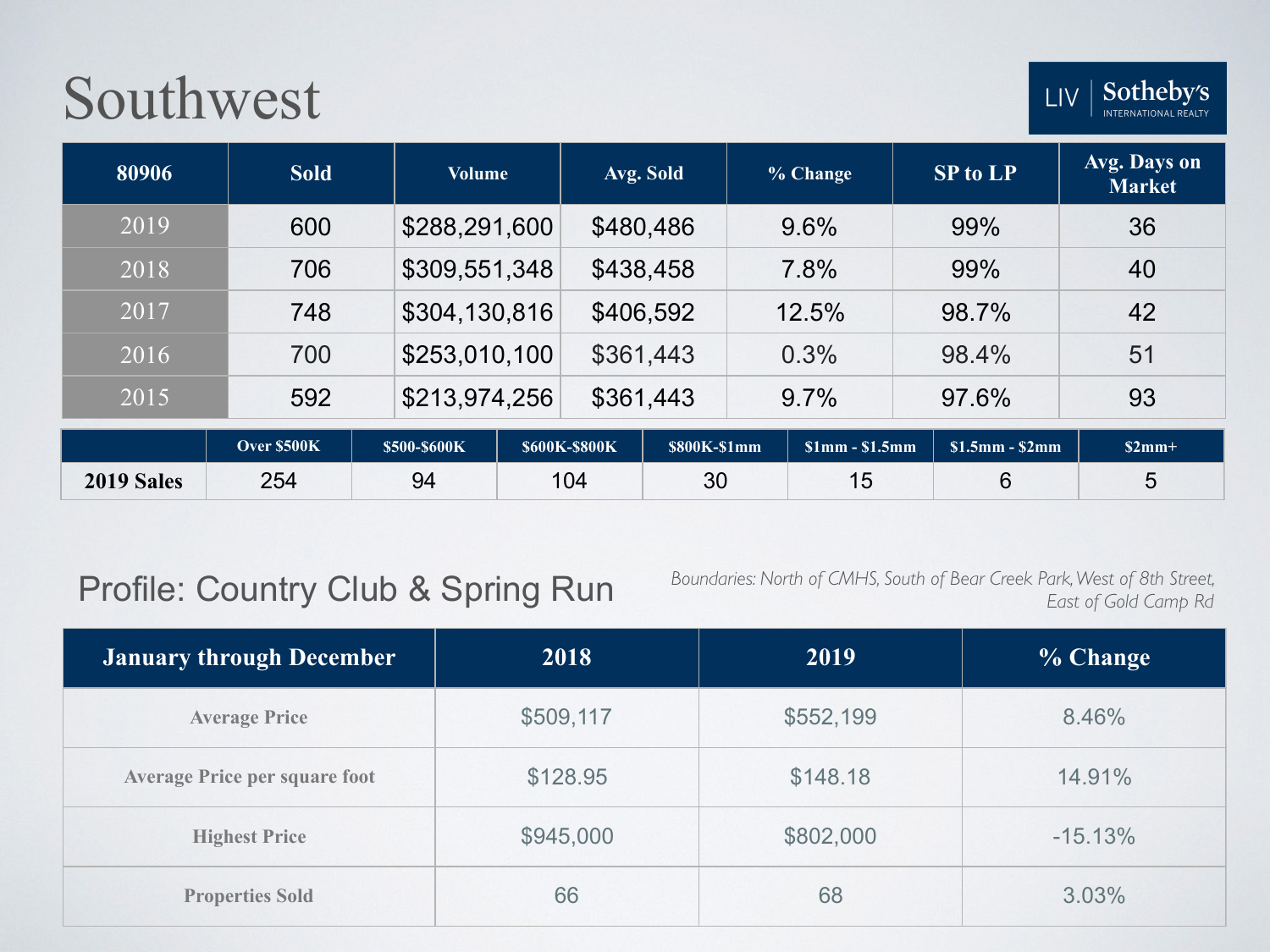| 80906      | <b>Sold</b> | <b>Volume</b> |                      | Avg. Sold    | % Change        | <b>SP to LP</b> | Avg. Days on<br><b>Market</b> |
|------------|-------------|---------------|----------------------|--------------|-----------------|-----------------|-------------------------------|
| 2019       | 600         | \$288,291,600 |                      | \$480,486    | 9.6%            | 99%             | 36                            |
| 2018       | 706         | \$309,551,348 |                      | \$438,458    | 7.8%            | 99%             | 40                            |
| 2017       | 748         | \$304,130,816 |                      | \$406,592    | 12.5%           | 98.7%           | 42                            |
| 2016       | 700         | \$253,010,100 |                      | \$361,443    | 0.3%            | 98.4%           | 51                            |
| 2015       | 592         | \$213,974,256 |                      | \$361,443    | 9.7%            | 97.6%           | 93                            |
|            | Over \$500K | \$500-\$600K  | <b>\$600K-\$800K</b> | \$800K-\$1mm | $$1mm - $1.5mm$ | $$1.5mm - $2mm$ | $$2mm+$                       |
| 2019 Sales | 254         | 94            | 104                  | 30           | 15              | 6               | 5                             |

### Profile: Country Club & Spring Run

*Boundaries: North of CMHS, South of Bear Creek Park, West of 8th Street, East of Gold Camp Rd*

| <b>January through December</b>      | 2018      | 2019      | % Change  |
|--------------------------------------|-----------|-----------|-----------|
| <b>Average Price</b>                 | \$509,117 | \$552,199 | 8.46%     |
| <b>Average Price per square foot</b> | \$128.95  | \$148.18  | 14.91%    |
| <b>Highest Price</b>                 | \$945,000 | \$802,000 | $-15.13%$ |
| <b>Properties Sold</b>               | 66        | 68        | 3.03%     |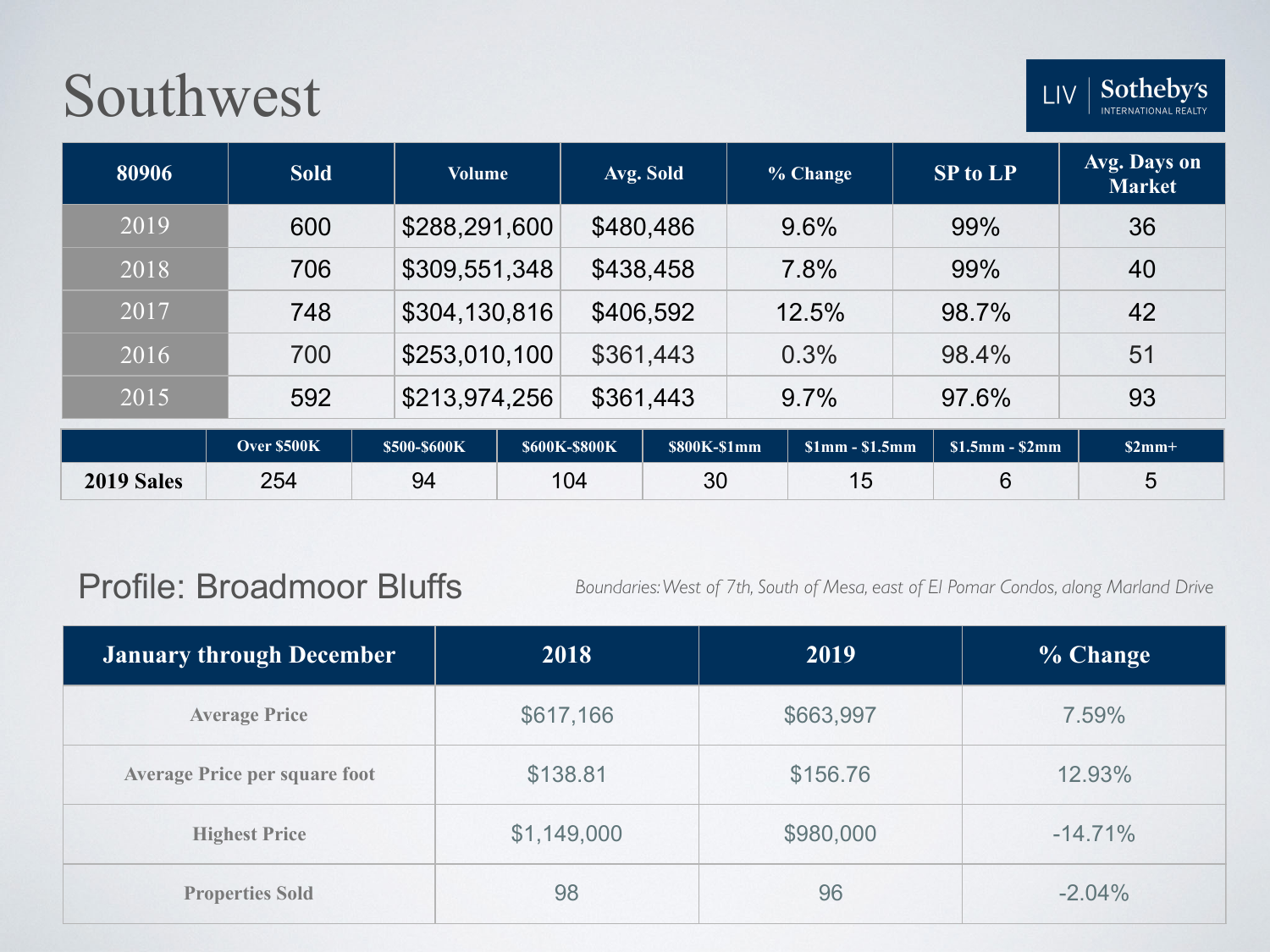| 80906      | <b>Sold</b> | <b>Volume</b> |                      | Avg. Sold    | % Change        | <b>SP to LP</b> | Avg. Days on<br><b>Market</b> |
|------------|-------------|---------------|----------------------|--------------|-----------------|-----------------|-------------------------------|
| 2019       | 600         | \$288,291,600 |                      | \$480,486    | 9.6%            | 99%             | 36                            |
| 2018       | 706         | \$309,551,348 |                      | \$438,458    | 7.8%            | 99%             | 40                            |
| 2017       | 748         | \$304,130,816 |                      | \$406,592    | 12.5%           | 98.7%           | 42                            |
| 2016       | 700         | \$253,010,100 |                      | \$361,443    | 0.3%            | 98.4%           | 51                            |
| 2015       | 592         | \$213,974,256 |                      | \$361,443    | 9.7%            | 97.6%           | 93                            |
|            | Over \$500K | \$500-\$600K  | <b>\$600K-\$800K</b> | \$800K-\$1mm | $$1mm - $1.5mm$ | $$1.5mm - $2mm$ | $$2mm+$                       |
| 2019 Sales | 254         | 94            | 104                  | 30           | 15              | 6               | 5                             |

#### Profile: Broadmoor Bluffs

*Boundaries: West of 7th, South of Mesa, east of El Pomar Condos, along Marland Drive*

| January through December             | 2018        | 2019      | % Change   |
|--------------------------------------|-------------|-----------|------------|
| <b>Average Price</b>                 | \$617,166   | \$663,997 | 7.59%      |
| <b>Average Price per square foot</b> | \$138.81    | \$156.76  | 12.93%     |
| <b>Highest Price</b>                 | \$1,149,000 | \$980,000 | $-14.71\%$ |
| <b>Properties Sold</b>               | 98          | 96        | $-2.04%$   |